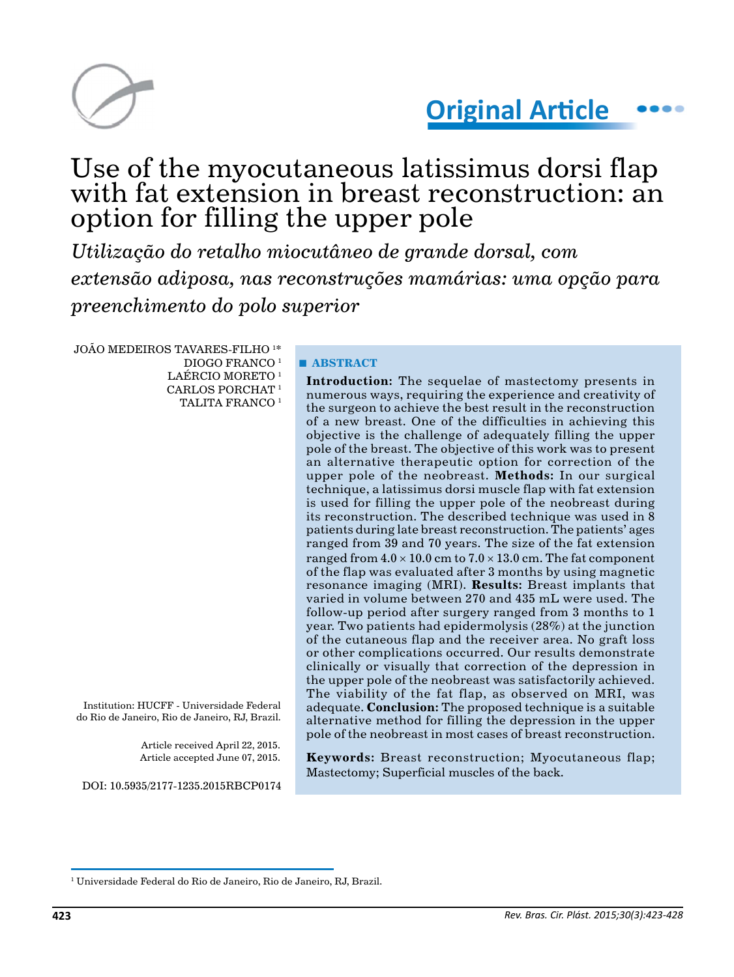

# **Original Article**

# Use of the myocutaneous latissimus dorsi flap with fat extension in breast reconstruction: an option for filling the upper pole

*Utilização do retalho miocutâneo de grande dorsal, com extensão adiposa, nas reconstruções mamárias: uma opção para preenchimento do polo superior*

JOÃO MEDEIROS TAVARES-FILHO 1 \* DIOGO FRANCO 1 LAÉRCIO MORETO<sup>1</sup> CARLOS PORCHAT 1 TALITA FRANCO<sup>1</sup>

Institution: HUCFF - Universidade Federal do Rio de Janeiro, Rio de Janeiro, RJ, Brazil.

> Article received April 22, 2015. Article accepted June 07, 2015.

DOI: 10.5935/2177-1235.2015RBCP0174

# **■ ABSTRACT**

**Introduction:** The sequelae of mastectomy presents in numerous ways, requiring the experience and creativity of the surgeon to achieve the best result in the reconstruction of a new breast. One of the difficulties in achieving this objective is the challenge of adequately filling the upper pole of the breast. The objective of this work was to present an alternative therapeutic option for correction of the upper pole of the neobreast. **Methods:** In our surgical technique, a latissimus dorsi muscle flap with fat extension is used for filling the upper pole of the neobreast during its reconstruction. The described technique was used in 8 patients during late breast reconstruction. The patients' ages ranged from 39 and 70 years. The size of the fat extension ranged from  $4.0 \times 10.0$  cm to  $7.0 \times 13.0$  cm. The fat component of the flap was evaluated after 3 months by using magnetic resonance imaging (MRI). **Results:** Breast implants that varied in volume between 270 and 435 mL were used. The follow-up period after surgery ranged from 3 months to 1 year. Two patients had epidermolysis (28%) at the junction of the cutaneous flap and the receiver area. No graft loss or other complications occurred. Our results demonstrate clinically or visually that correction of the depression in the upper pole of the neobreast was satisfactorily achieved. The viability of the fat flap, as observed on MRI, was adequate. **Conclusion:** The proposed technique is a suitable alternative method for filling the depression in the upper pole of the neobreast in most cases of breast reconstruction.

**Keywords:** Breast reconstruction; Myocutaneous flap; Mastectomy; Superficial muscles of the back.

<sup>1</sup> Universidade Federal do Rio de Janeiro, Rio de Janeiro, RJ, Brazil.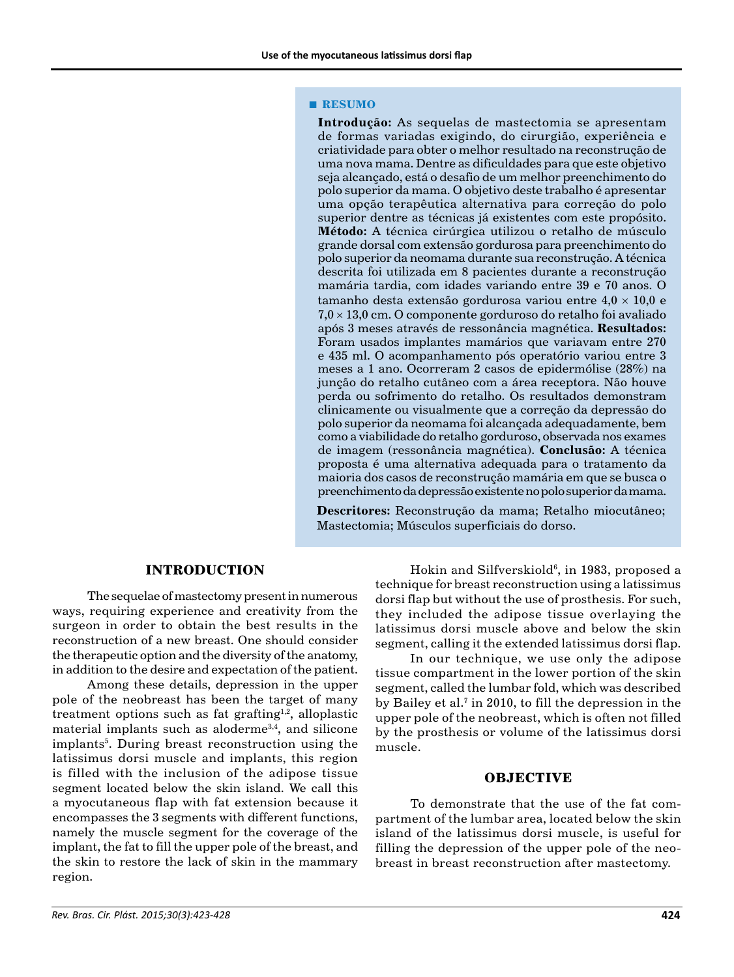#### **■ RESUMO**

**Introdução:** As sequelas de mastectomia se apresentam de formas variadas exigindo, do cirurgião, experiência e criatividade para obter o melhor resultado na reconstrução de uma nova mama. Dentre as dificuldades para que este objetivo seja alcançado, está o desafio de um melhor preenchimento do polo superior da mama. O objetivo deste trabalho é apresentar uma opção terapêutica alternativa para correção do polo superior dentre as técnicas já existentes com este propósito. **Método:** A técnica cirúrgica utilizou o retalho de músculo grande dorsal com extensão gordurosa para preenchimento do polo superior da neomama durante sua reconstrução. A técnica descrita foi utilizada em 8 pacientes durante a reconstrução mamária tardia, com idades variando entre 39 e 70 anos. O tamanho desta extensão gordurosa variou entre  $4.0 \times 10.0$  e  $7.0 \times 13.0$  cm. O componente gorduroso do retalho foi avaliado após 3 meses através de ressonância magnética. **Resultados:**  Foram usados implantes mamários que variavam entre 270 e 435 ml. O acompanhamento pós operatório variou entre 3 meses a 1 ano. Ocorreram 2 casos de epidermólise (28%) na junção do retalho cutâneo com a área receptora. Não houve perda ou sofrimento do retalho. Os resultados demonstram clinicamente ou visualmente que a correção da depressão do polo superior da neomama foi alcançada adequadamente, bem como a viabilidade do retalho gorduroso, observada nos exames de imagem (ressonância magnética). **Conclusão:** A técnica proposta é uma alternativa adequada para o tratamento da maioria dos casos de reconstrução mamária em que se busca o preenchimento da depressão existente no polo superior da mama.

**Descritores:** Reconstrução da mama; Retalho miocutâneo; Mastectomia; Músculos superficiais do dorso.

# **INTRODUCTION**

The sequelae of mastectomy present in numerous ways, requiring experience and creativity from the surgeon in order to obtain the best results in the reconstruction of a new breast. One should consider the therapeutic option and the diversity of the anatomy, in addition to the desire and expectation of the patient.

Among these details, depression in the upper pole of the neobreast has been the target of many treatment options such as fat grafting<sup>1,2</sup>, alloplastic material implants such as aloderme3,4, and silicone implants<sup>5</sup>. During breast reconstruction using the latissimus dorsi muscle and implants, this region is filled with the inclusion of the adipose tissue segment located below the skin island. We call this a myocutaneous flap with fat extension because it encompasses the 3 segments with different functions, namely the muscle segment for the coverage of the implant, the fat to fill the upper pole of the breast, and the skin to restore the lack of skin in the mammary region.

Hokin and Silfverskiold<sup>6</sup>, in 1983, proposed a technique for breast reconstruction using a latissimus dorsi flap but without the use of prosthesis. For such, they included the adipose tissue overlaying the latissimus dorsi muscle above and below the skin segment, calling it the extended latissimus dorsi flap.

In our technique, we use only the adipose tissue compartment in the lower portion of the skin segment, called the lumbar fold, which was described by Bailey et al.<sup>7</sup> in 2010, to fill the depression in the upper pole of the neobreast, which is often not filled by the prosthesis or volume of the latissimus dorsi muscle.

#### **OBJECTIVE**

To demonstrate that the use of the fat compartment of the lumbar area, located below the skin island of the latissimus dorsi muscle, is useful for filling the depression of the upper pole of the neobreast in breast reconstruction after mastectomy.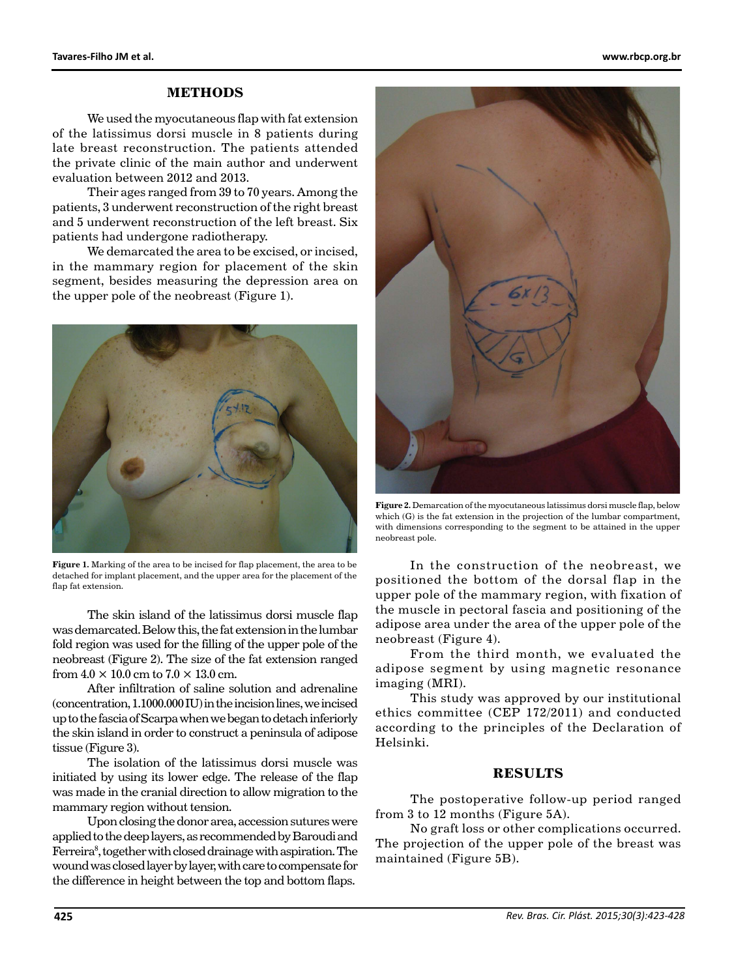# **METHODS**

We used the myocutaneous flap with fat extension of the latissimus dorsi muscle in 8 patients during late breast reconstruction. The patients attended the private clinic of the main author and underwent evaluation between 2012 and 2013.

Their ages ranged from 39 to 70 years. Among the patients, 3 underwent reconstruction of the right breast and 5 underwent reconstruction of the left breast. Six patients had undergone radiotherapy.

We demarcated the area to be excised, or incised, in the mammary region for placement of the skin segment, besides measuring the depression area on the upper pole of the neobreast (Figure 1).



**Figure 1.** Marking of the area to be incised for flap placement, the area to be detached for implant placement, and the upper area for the placement of the flap fat extension.

The skin island of the latissimus dorsi muscle flap was demarcated. Below this, the fat extension in the lumbar fold region was used for the filling of the upper pole of the neobreast (Figure 2). The size of the fat extension ranged from  $4.0 \times 10.0$  cm to  $7.0 \times 13.0$  cm.

After infiltration of saline solution and adrenaline (concentration, 1.1000.000 IU) in the incision lines, we incised up to the fascia of Scarpa when we began to detach inferiorly the skin island in order to construct a peninsula of adipose tissue (Figure 3).

The isolation of the latissimus dorsi muscle was initiated by using its lower edge. The release of the flap was made in the cranial direction to allow migration to the mammary region without tension.

Upon closing the donor area, accession sutures were applied to the deep layers, as recommended by Baroudi and Ferreira<sup>8</sup>, together with closed drainage with aspiration. The wound was closed layer by layer, with care to compensate for the difference in height between the top and bottom flaps.



**Figure 2.** Demarcation of the myocutaneous latissimus dorsi muscle flap, below which (G) is the fat extension in the projection of the lumbar compartment, with dimensions corresponding to the segment to be attained in the upper neobreast pole.

In the construction of the neobreast, we positioned the bottom of the dorsal flap in the upper pole of the mammary region, with fixation of the muscle in pectoral fascia and positioning of the adipose area under the area of the upper pole of the neobreast (Figure 4).

From the third month, we evaluated the adipose segment by using magnetic resonance imaging (MRI).

This study was approved by our institutional ethics committee (CEP 172/2011) and conducted according to the principles of the Declaration of Helsinki.

## **RESULTS**

The postoperative follow-up period ranged from 3 to 12 months (Figure 5A).

No graft loss or other complications occurred. The projection of the upper pole of the breast was maintained (Figure 5B).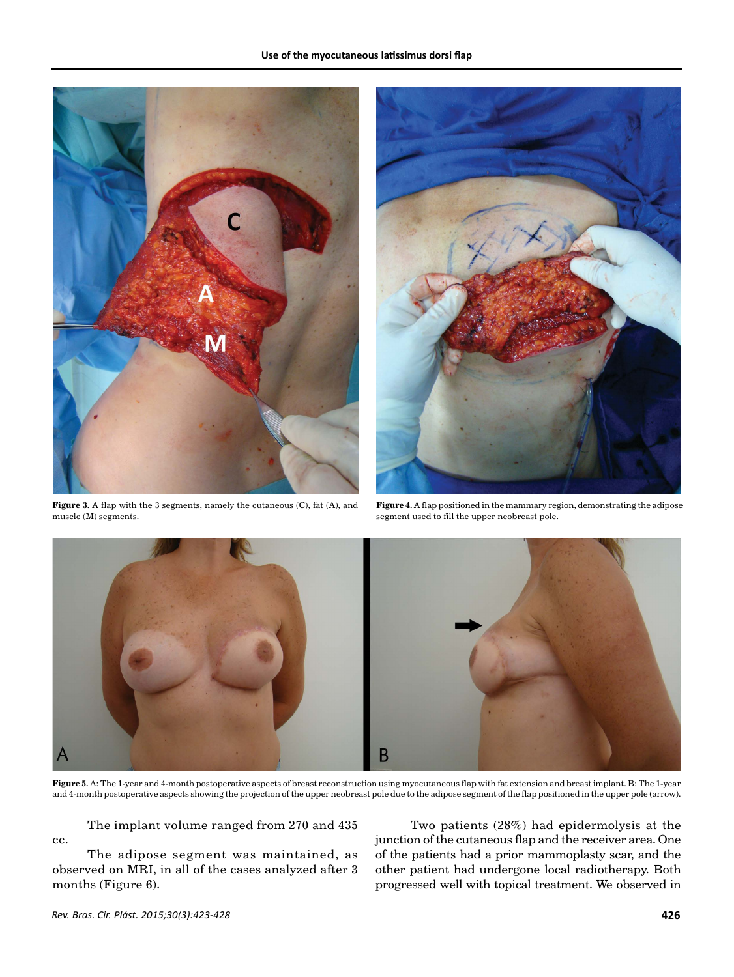

**Figure 3.** A flap with the 3 segments, namely the cutaneous (C), fat (A), and muscle (M) segments.



**Figure 4.** A flap positioned in the mammary region, demonstrating the adipose segment used to fill the upper neobreast pole.



**Figure 5.** A: The 1-year and 4-month postoperative aspects of breast reconstruction using myocutaneous flap with fat extension and breast implant. B: The 1-year and 4-month postoperative aspects showing the projection of the upper neobreast pole due to the adipose segment of the flap positioned in the upper pole (arrow).

The implant volume ranged from 270 and 435 cc.

The adipose segment was maintained, as observed on MRI, in all of the cases analyzed after 3 months (Figure 6).

Two patients (28%) had epidermolysis at the junction of the cutaneous flap and the receiver area. One of the patients had a prior mammoplasty scar, and the other patient had undergone local radiotherapy. Both progressed well with topical treatment. We observed in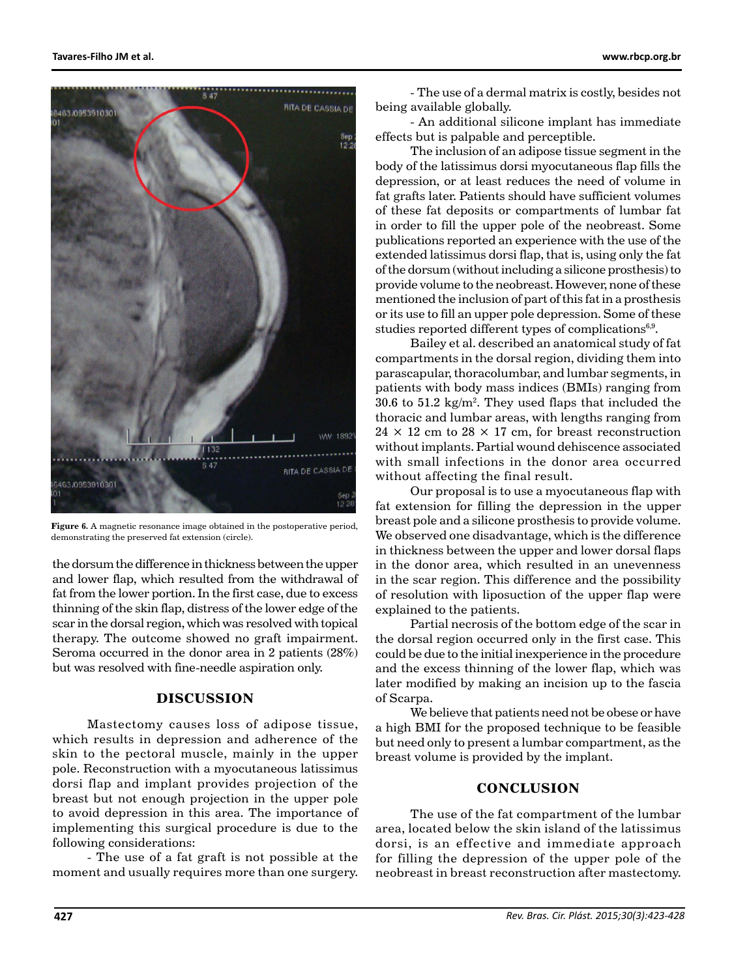

**Figure 6.** A magnetic resonance image obtained in the postoperative period, demonstrating the preserved fat extension (circle).

the dorsum the difference in thickness between the upper and lower flap, which resulted from the withdrawal of fat from the lower portion. In the first case, due to excess thinning of the skin flap, distress of the lower edge of the scar in the dorsal region, which was resolved with topical therapy. The outcome showed no graft impairment. Seroma occurred in the donor area in 2 patients (28%) but was resolved with fine-needle aspiration only.

# **DISCUSSION**

Mastectomy causes loss of adipose tissue, which results in depression and adherence of the skin to the pectoral muscle, mainly in the upper pole. Reconstruction with a myocutaneous latissimus dorsi flap and implant provides projection of the breast but not enough projection in the upper pole to avoid depression in this area. The importance of implementing this surgical procedure is due to the following considerations:

- The use of a fat graft is not possible at the moment and usually requires more than one surgery.

- The use of a dermal matrix is costly, besides not being available globally.

- An additional silicone implant has immediate effects but is palpable and perceptible.

The inclusion of an adipose tissue segment in the body of the latissimus dorsi myocutaneous flap fills the depression, or at least reduces the need of volume in fat grafts later. Patients should have sufficient volumes of these fat deposits or compartments of lumbar fat in order to fill the upper pole of the neobreast. Some publications reported an experience with the use of the extended latissimus dorsi flap, that is, using only the fat of the dorsum (without including a silicone prosthesis) to provide volume to the neobreast. However, none of these mentioned the inclusion of part of this fat in a prosthesis or its use to fill an upper pole depression. Some of these studies reported different types of complications<sup>6,9</sup>.

Bailey et al. described an anatomical study of fat compartments in the dorsal region, dividing them into parascapular, thoracolumbar, and lumbar segments, in patients with body mass indices (BMIs) ranging from  $30.6$  to  $51.2 \text{ kg/m}^2$ . They used flaps that included the thoracic and lumbar areas, with lengths ranging from  $24 \times 12$  cm to  $28 \times 17$  cm, for breast reconstruction without implants. Partial wound dehiscence associated with small infections in the donor area occurred without affecting the final result.

Our proposal is to use a myocutaneous flap with fat extension for filling the depression in the upper breast pole and a silicone prosthesis to provide volume. We observed one disadvantage, which is the difference in thickness between the upper and lower dorsal flaps in the donor area, which resulted in an unevenness in the scar region. This difference and the possibility of resolution with liposuction of the upper flap were explained to the patients.

Partial necrosis of the bottom edge of the scar in the dorsal region occurred only in the first case. This could be due to the initial inexperience in the procedure and the excess thinning of the lower flap, which was later modified by making an incision up to the fascia of Scarpa.

We believe that patients need not be obese or have a high BMI for the proposed technique to be feasible but need only to present a lumbar compartment, as the breast volume is provided by the implant.

## **CONCLUSION**

The use of the fat compartment of the lumbar area, located below the skin island of the latissimus dorsi, is an effective and immediate approach for filling the depression of the upper pole of the neobreast in breast reconstruction after mastectomy.